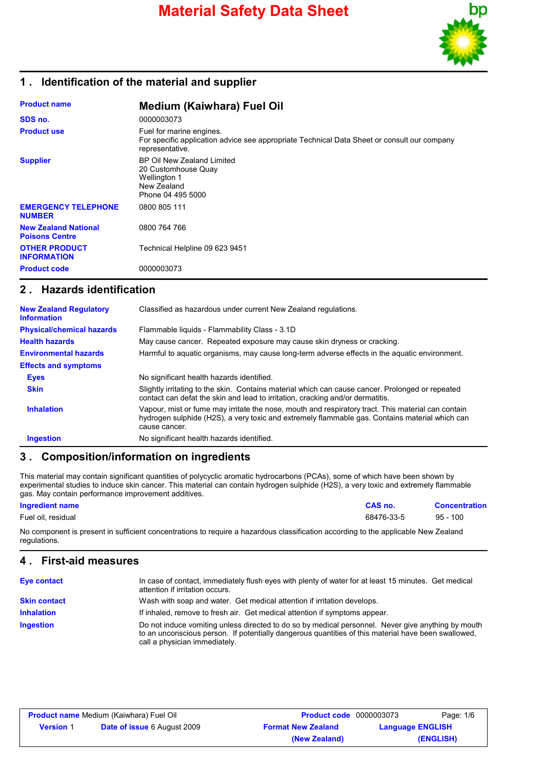

## **1 . Identification of the material and supplier**

| <b>Product name</b>                                  | <b>Medium (Kaiwhara) Fuel Oil</b>                                                                                                          |
|------------------------------------------------------|--------------------------------------------------------------------------------------------------------------------------------------------|
| SDS no.                                              | 0000003073                                                                                                                                 |
| <b>Product use</b>                                   | Fuel for marine engines.<br>For specific application advice see appropriate Technical Data Sheet or consult our company<br>representative. |
| <b>Supplier</b>                                      | BP Oil New Zealand Limited<br>20 Customhouse Quay<br>Wellington 1<br>New Zealand<br>Phone 04 495 5000                                      |
| <b>EMERGENCY TELEPHONE</b><br><b>NUMBER</b>          | 0800 805 111                                                                                                                               |
| <b>New Zealand National</b><br><b>Poisons Centre</b> | 0800 764 766                                                                                                                               |
| <b>OTHER PRODUCT</b><br><b>INFORMATION</b>           | Technical Helpline 09 623 9451                                                                                                             |
| <b>Product code</b>                                  | 0000003073                                                                                                                                 |

### **2 . Hazards identification**

| <b>New Zealand Regulatory</b><br><b>Information</b> | Classified as hazardous under current New Zealand regulations.                                                                                                                                                        |
|-----------------------------------------------------|-----------------------------------------------------------------------------------------------------------------------------------------------------------------------------------------------------------------------|
| <b>Physical/chemical hazards</b>                    | Flammable liquids - Flammability Class - 3.1D                                                                                                                                                                         |
| <b>Health hazards</b>                               | May cause cancer. Repeated exposure may cause skin dryness or cracking.                                                                                                                                               |
| <b>Environmental hazards</b>                        | Harmful to aquatic organisms, may cause long-term adverse effects in the aquatic environment.                                                                                                                         |
| <b>Effects and symptoms</b>                         |                                                                                                                                                                                                                       |
| <b>Eyes</b>                                         | No significant health hazards identified.                                                                                                                                                                             |
| <b>Skin</b>                                         | Slightly irritating to the skin. Contains material which can cause cancer. Prolonged or repeated<br>contact can defat the skin and lead to irritation, cracking and/or dermatitis.                                    |
| <b>Inhalation</b>                                   | Vapour, mist or fume may irritate the nose, mouth and respiratory tract. This material can contain<br>hydrogen sulphide (H2S), a very toxic and extremely flammable gas. Contains material which can<br>cause cancer. |
| <b>Ingestion</b>                                    | No significant health hazards identified.                                                                                                                                                                             |

## **3 . Composition/information on ingredients**

This material may contain significant quantities of polycyclic aromatic hydrocarbons (PCAs), some of which have been shown by experimental studies to induce skin cancer. This material can contain hydrogen sulphide (H2S), a very toxic and extremely flammable gas. May contain performance improvement additives.

### **Ingredient name CAS no. Concentration**

Fuel oil, residual 68476-33-5 95 - 100

No component is present in sufficient concentrations to require a hazardous classification according to the applicable New Zealand regulations.

### **4 . First-aid measures**

| <b>Eye contact</b>  | In case of contact, immediately flush eyes with plenty of water for at least 15 minutes. Get medical<br>attention if irritation occurs.                                                                                                    |
|---------------------|--------------------------------------------------------------------------------------------------------------------------------------------------------------------------------------------------------------------------------------------|
| <b>Skin contact</b> | Wash with soap and water. Get medical attention if irritation develops.                                                                                                                                                                    |
| <b>Inhalation</b>   | If inhaled, remove to fresh air. Get medical attention if symptoms appear.                                                                                                                                                                 |
| <b>Ingestion</b>    | Do not induce vomiting unless directed to do so by medical personnel. Never give anything by mouth<br>to an unconscious person. If potentially dangerous quantities of this material have been swallowed,<br>call a physician immediately. |

| <b>Product name</b> Medium (Kaiwhara) Fuel Oil |                                    | <b>Product code</b> 0000003073 |                         | Page: 1/6 |
|------------------------------------------------|------------------------------------|--------------------------------|-------------------------|-----------|
| <b>Version 1</b>                               | <b>Date of issue 6 August 2009</b> | <b>Format New Zealand</b>      | <b>Language ENGLISH</b> |           |
|                                                |                                    | (New Zealand)                  |                         | (ENGLISH) |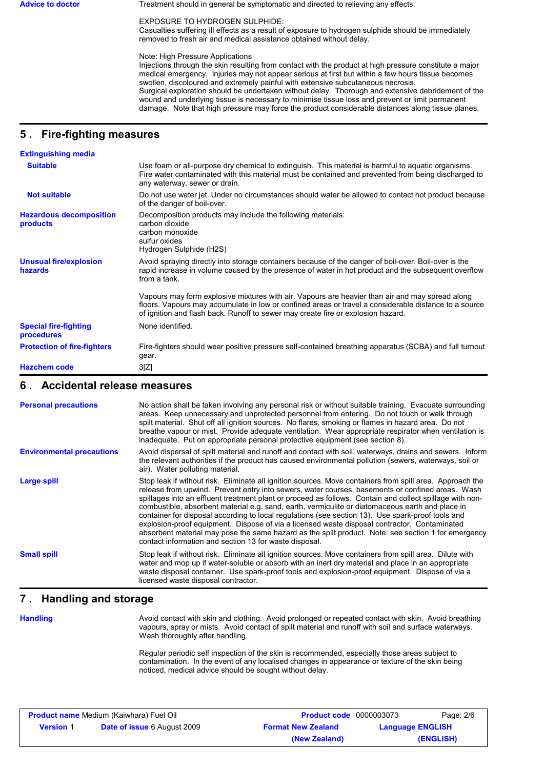Advice to doctor **Treatment should in general be symptomatic and directed to relieving any effects.** 

EXPOSURE TO HYDROGEN SULPHIDE:

Casualties suffering ill effects as a result of exposure to hydrogen sulphide should be immediately removed to fresh air and medical assistance obtained without delay.

Note: High Pressure Applications

Injections through the skin resulting from contact with the product at high pressure constitute a major medical emergency. Injuries may not appear serious at first but within a few hours tissue becomes swollen, discoloured and extremely painful with extensive subcutaneous necrosis. Surgical exploration should be undertaken without delay. Thorough and extensive debridement of the wound and underlying tissue is necessary to minimise tissue loss and prevent or limit permanent damage. Note that high pressure may force the product considerable distances along tissue planes.

## **5 . Fire-fighting measures**

| <b>Extinguishing media</b>                 |                                                                                                                                                                                                                                                                                              |
|--------------------------------------------|----------------------------------------------------------------------------------------------------------------------------------------------------------------------------------------------------------------------------------------------------------------------------------------------|
| <b>Suitable</b>                            | Use foam or all-purpose dry chemical to extinguish. This material is harmful to aquatic organisms.<br>Fire water contaminated with this material must be contained and prevented from being discharged to<br>any waterway, sewer or drain.                                                   |
| <b>Not suitable</b>                        | Do not use water jet. Under no circumstances should water be allowed to contact hot product because<br>of the danger of boil-over.                                                                                                                                                           |
| <b>Hazardous decomposition</b><br>products | Decomposition products may include the following materials:<br>carbon dioxide<br>carbon monoxide<br>sulfur oxides<br>Hydrogen Sulphide (H2S)                                                                                                                                                 |
| <b>Unusual fire/explosion</b><br>hazards   | Avoid spraying directly into storage containers because of the danger of boil-over. Boil-over is the<br>rapid increase in volume caused by the presence of water in hot product and the subsequent overflow<br>from a tank.                                                                  |
|                                            | Vapours may form explosive mixtures with air. Vapours are heavier than air and may spread along<br>floors. Vapours may accumulate in low or confined areas or travel a considerable distance to a source<br>of ignition and flash back. Runoff to sewer may create fire or explosion hazard. |
| <b>Special fire-fighting</b><br>procedures | None identified.                                                                                                                                                                                                                                                                             |
| <b>Protection of fire-fighters</b>         | Fire-fighters should wear positive pressure self-contained breathing apparatus (SCBA) and full turnout<br>gear.                                                                                                                                                                              |
| <b>Hazchem code</b>                        | 3[Z]                                                                                                                                                                                                                                                                                         |

### **6 . Accidental release measures**

| <b>Personal precautions</b>      | No action shall be taken involving any personal risk or without suitable training. Evacuate surrounding<br>areas. Keep unnecessary and unprotected personnel from entering. Do not touch or walk through<br>spilt material. Shut off all ignition sources. No flares, smoking or flames in hazard area. Do not<br>breathe vapour or mist. Provide adequate ventilation. Wear appropriate respirator when ventilation is<br>inadequate. Put on appropriate personal protective equipment (see section 8).                                                                                                                                                                                                                                                                                           |
|----------------------------------|----------------------------------------------------------------------------------------------------------------------------------------------------------------------------------------------------------------------------------------------------------------------------------------------------------------------------------------------------------------------------------------------------------------------------------------------------------------------------------------------------------------------------------------------------------------------------------------------------------------------------------------------------------------------------------------------------------------------------------------------------------------------------------------------------|
| <b>Environmental precautions</b> | Avoid dispersal of spilt material and runoff and contact with soil, waterways, drains and sewers. Inform<br>the relevant authorities if the product has caused environmental pollution (sewers, waterways, soil or<br>air). Water polluting material.                                                                                                                                                                                                                                                                                                                                                                                                                                                                                                                                              |
| <b>Large spill</b>               | Stop leak if without risk. Eliminate all ignition sources. Move containers from spill area. Approach the<br>release from upwind. Prevent entry into sewers, water courses, basements or confined areas. Wash<br>spillages into an effluent treatment plant or proceed as follows. Contain and collect spillage with non-<br>combustible, absorbent material e.g. sand, earth, vermiculite or diatomaceous earth and place in<br>container for disposal according to local regulations (see section 13). Use spark-proof tools and<br>explosion-proof equipment. Dispose of via a licensed waste disposal contractor. Contaminated<br>absorbent material may pose the same hazard as the spilt product. Note: see section 1 for emergency<br>contact information and section 13 for waste disposal. |
| <b>Small spill</b>               | Stop leak if without risk. Eliminate all ignition sources. Move containers from spill area. Dilute with<br>water and mop up if water-soluble or absorb with an inert dry material and place in an appropriate<br>waste disposal container. Use spark-proof tools and explosion-proof equipment. Dispose of via a<br>licensed waste disposal contractor.                                                                                                                                                                                                                                                                                                                                                                                                                                            |

## **7 . Handling and storage**

**Handling**

Avoid contact with skin and clothing. Avoid prolonged or repeated contact with skin. Avoid breathing vapours, spray or mists. Avoid contact of spilt material and runoff with soil and surface waterways. Wash thoroughly after handling.

Regular periodic self inspection of the skin is recommended, especially those areas subject to contamination. In the event of any localised changes in appearance or texture of the skin being noticed, medical advice should be sought without delay.

| <b>Product name Medium (Kaiwhara) Fuel Oil</b> |                                    | <b>Product code</b> 0000003073 |                         | Page: 2/6 |
|------------------------------------------------|------------------------------------|--------------------------------|-------------------------|-----------|
| <b>Version 1</b>                               | <b>Date of issue 6 August 2009</b> | <b>Format New Zealand</b>      | <b>Language ENGLISH</b> |           |
|                                                |                                    | (New Zealand)                  |                         | (ENGLISH) |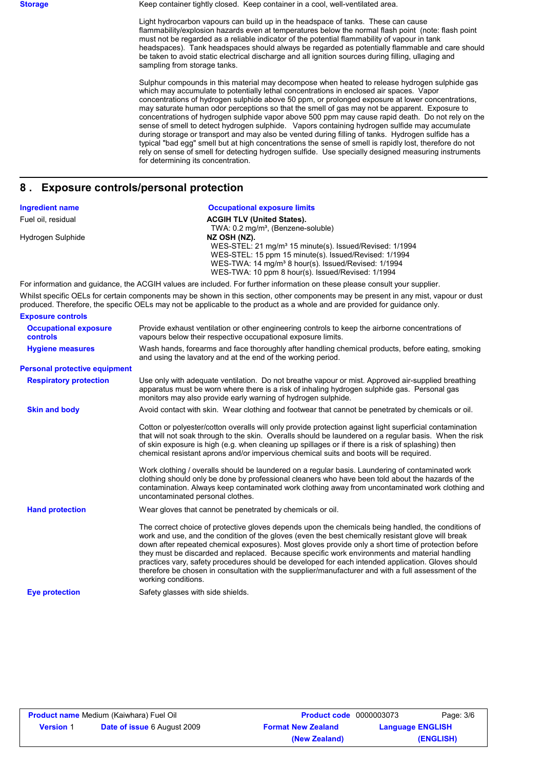**Storage** Keep container tightly closed. Keep container in a cool, well-ventilated area.

Light hydrocarbon vapours can build up in the headspace of tanks. These can cause flammability/explosion hazards even at temperatures below the normal flash point (note: flash point must not be regarded as a reliable indicator of the potential flammability of vapour in tank headspaces). Tank headspaces should always be regarded as potentially flammable and care should be taken to avoid static electrical discharge and all ignition sources during filling, ullaging and sampling from storage tanks.

Sulphur compounds in this material may decompose when heated to release hydrogen sulphide gas which may accumulate to potentially lethal concentrations in enclosed air spaces. Vapor concentrations of hydrogen sulphide above 50 ppm, or prolonged exposure at lower concentrations, may saturate human odor perceptions so that the smell of gas may not be apparent. Exposure to concentrations of hydrogen sulphide vapor above 500 ppm may cause rapid death. Do not rely on the sense of smell to detect hydrogen sulphide. Vapors containing hydrogen sulfide may accumulate during storage or transport and may also be vented during filling of tanks. Hydrogen sulfide has a typical "bad egg" smell but at high concentrations the sense of smell is rapidly lost, therefore do not rely on sense of smell for detecting hydrogen sulfide. Use specially designed measuring instruments for determining its concentration.

### **8 . Exposure controls/personal protection**

| <b>Ingredient name</b>                          | <b>Occupational exposure limits</b>                                                                                                                                                                                                                                                                                                                                                                                                                                                                                                                                                                                                                    |
|-------------------------------------------------|--------------------------------------------------------------------------------------------------------------------------------------------------------------------------------------------------------------------------------------------------------------------------------------------------------------------------------------------------------------------------------------------------------------------------------------------------------------------------------------------------------------------------------------------------------------------------------------------------------------------------------------------------------|
| Fuel oil, residual                              | <b>ACGIH TLV (United States).</b>                                                                                                                                                                                                                                                                                                                                                                                                                                                                                                                                                                                                                      |
| Hydrogen Sulphide                               | TWA: 0.2 mg/m <sup>3</sup> , (Benzene-soluble)<br>NZ OSH (NZ).<br>WES-STEL: 21 mg/m <sup>3</sup> 15 minute(s). Issued/Revised: 1/1994<br>WES-STEL: 15 ppm 15 minute(s). Issued/Revised: 1/1994<br>WES-TWA: 14 mg/m <sup>3</sup> 8 hour(s). Issued/Revised: 1/1994<br>WES-TWA: 10 ppm 8 hour(s). Issued/Revised: 1/1994                                                                                                                                                                                                                                                                                                                                 |
|                                                 | For information and quidance, the ACGIH values are included. For further information on these please consult your supplier.                                                                                                                                                                                                                                                                                                                                                                                                                                                                                                                            |
|                                                 | Whilst specific OELs for certain components may be shown in this section, other components may be present in any mist, vapour or dust<br>produced. Therefore, the specific OELs may not be applicable to the product as a whole and are provided for guidance only.                                                                                                                                                                                                                                                                                                                                                                                    |
| <b>Exposure controls</b>                        |                                                                                                                                                                                                                                                                                                                                                                                                                                                                                                                                                                                                                                                        |
| <b>Occupational exposure</b><br><b>controls</b> | Provide exhaust ventilation or other engineering controls to keep the airborne concentrations of<br>vapours below their respective occupational exposure limits.                                                                                                                                                                                                                                                                                                                                                                                                                                                                                       |
| <b>Hygiene measures</b>                         | Wash hands, forearms and face thoroughly after handling chemical products, before eating, smoking<br>and using the lavatory and at the end of the working period.                                                                                                                                                                                                                                                                                                                                                                                                                                                                                      |
| <b>Personal protective equipment</b>            |                                                                                                                                                                                                                                                                                                                                                                                                                                                                                                                                                                                                                                                        |
| <b>Respiratory protection</b>                   | Use only with adequate ventilation. Do not breathe vapour or mist. Approved air-supplied breathing<br>apparatus must be worn where there is a risk of inhaling hydrogen sulphide gas. Personal gas<br>monitors may also provide early warning of hydrogen sulphide.                                                                                                                                                                                                                                                                                                                                                                                    |
| <b>Skin and body</b>                            | Avoid contact with skin. Wear clothing and footwear that cannot be penetrated by chemicals or oil.                                                                                                                                                                                                                                                                                                                                                                                                                                                                                                                                                     |
|                                                 | Cotton or polyester/cotton overalls will only provide protection against light superficial contamination<br>that will not soak through to the skin. Overalls should be laundered on a regular basis. When the risk<br>of skin exposure is high (e.g. when cleaning up spillages or if there is a risk of splashing) then<br>chemical resistant aprons and/or impervious chemical suits and boots will be required.                                                                                                                                                                                                                                     |
|                                                 | Work clothing / overalls should be laundered on a regular basis. Laundering of contaminated work<br>clothing should only be done by professional cleaners who have been told about the hazards of the<br>contamination. Always keep contaminated work clothing away from uncontaminated work clothing and<br>uncontaminated personal clothes.                                                                                                                                                                                                                                                                                                          |
| <b>Hand protection</b>                          | Wear gloves that cannot be penetrated by chemicals or oil.                                                                                                                                                                                                                                                                                                                                                                                                                                                                                                                                                                                             |
|                                                 | The correct choice of protective gloves depends upon the chemicals being handled, the conditions of<br>work and use, and the condition of the gloves (even the best chemically resistant glove will break<br>down after repeated chemical exposures). Most gloves provide only a short time of protection before<br>they must be discarded and replaced. Because specific work environments and material handling<br>practices vary, safety procedures should be developed for each intended application. Gloves should<br>therefore be chosen in consultation with the supplier/manufacturer and with a full assessment of the<br>working conditions. |
| <b>Eye protection</b>                           | Safety glasses with side shields.                                                                                                                                                                                                                                                                                                                                                                                                                                                                                                                                                                                                                      |

| <b>Product name Medium (Kaiwhara) Fuel Oil</b> |                                    | <b>Product code</b> 0000003073 |                         | Page: 3/6 |
|------------------------------------------------|------------------------------------|--------------------------------|-------------------------|-----------|
| <b>Version 1</b>                               | <b>Date of issue 6 August 2009</b> | <b>Format New Zealand</b>      | <b>Language ENGLISH</b> |           |
|                                                |                                    | (New Zealand)                  |                         | (ENGLISH) |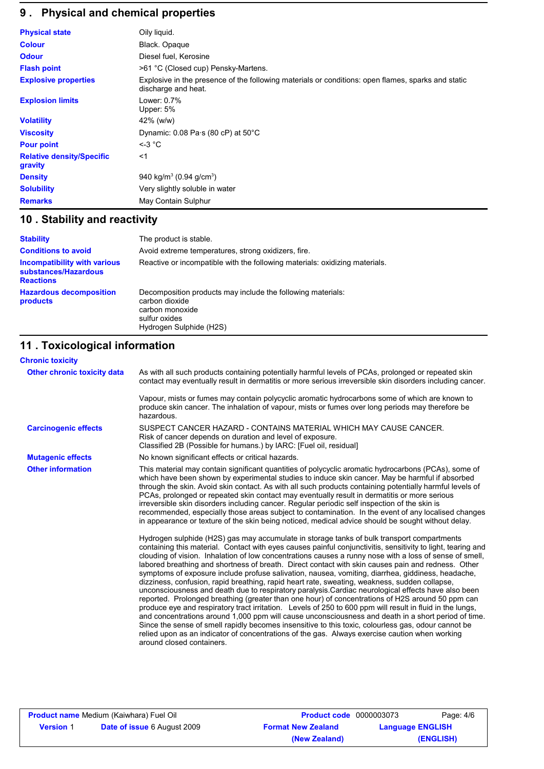# **9 . Physical and chemical properties**

| <b>Physical state</b>                       | Oily liquid.                                                                                                              |
|---------------------------------------------|---------------------------------------------------------------------------------------------------------------------------|
| <b>Colour</b>                               | Black. Opaque                                                                                                             |
| <b>Odour</b>                                | Diesel fuel, Kerosine                                                                                                     |
| <b>Flash point</b>                          | >61 °C (Closed cup) Pensky-Martens.                                                                                       |
| <b>Explosive properties</b>                 | Explosive in the presence of the following materials or conditions: open flames, sparks and static<br>discharge and heat. |
| <b>Explosion limits</b>                     | Lower: 0.7%<br>Upper: 5%                                                                                                  |
| <b>Volatility</b>                           | $42\%$ (w/w)                                                                                                              |
| <b>Viscosity</b>                            | Dynamic: $0.08$ Pa $\cdot$ s (80 cP) at 50 $\degree$ C                                                                    |
| <b>Pour point</b>                           | $\leq$ 3 °C                                                                                                               |
| <b>Relative density/Specific</b><br>gravity | $<$ 1                                                                                                                     |
| <b>Density</b>                              | 940 kg/m <sup>3</sup> (0.94 g/cm <sup>3</sup> )                                                                           |
| <b>Solubility</b>                           | Very slightly soluble in water                                                                                            |
| <b>Remarks</b>                              | May Contain Sulphur                                                                                                       |

## **10 . Stability and reactivity**

| <b>Stability</b>                                                                | The product is stable.                                                                                                                       |
|---------------------------------------------------------------------------------|----------------------------------------------------------------------------------------------------------------------------------------------|
| <b>Conditions to avoid</b>                                                      | Avoid extreme temperatures, strong oxidizers, fire.                                                                                          |
| <b>Incompatibility with various</b><br>substances/Hazardous<br><b>Reactions</b> | Reactive or incompatible with the following materials: oxidizing materials.                                                                  |
| <b>Hazardous decomposition</b><br>products                                      | Decomposition products may include the following materials:<br>carbon dioxide<br>carbon monoxide<br>sulfur oxides<br>Hydrogen Sulphide (H2S) |

## **11 . Toxicological information**

| <b>Chronic toxicity</b>     |                                                                                                                                                                                                                                                                                                                                                                                                                                                                                                                                                                                                                                                                                                                                                                                                                                                                                                                                                                                                                                                            |
|-----------------------------|------------------------------------------------------------------------------------------------------------------------------------------------------------------------------------------------------------------------------------------------------------------------------------------------------------------------------------------------------------------------------------------------------------------------------------------------------------------------------------------------------------------------------------------------------------------------------------------------------------------------------------------------------------------------------------------------------------------------------------------------------------------------------------------------------------------------------------------------------------------------------------------------------------------------------------------------------------------------------------------------------------------------------------------------------------|
| Other chronic toxicity data | As with all such products containing potentially harmful levels of PCAs, prolonged or repeated skin<br>contact may eventually result in dermatitis or more serious irreversible skin disorders including cancer.                                                                                                                                                                                                                                                                                                                                                                                                                                                                                                                                                                                                                                                                                                                                                                                                                                           |
|                             | Vapour, mists or fumes may contain polycyclic aromatic hydrocarbons some of which are known to<br>produce skin cancer. The inhalation of vapour, mists or fumes over long periods may therefore be<br>hazardous.                                                                                                                                                                                                                                                                                                                                                                                                                                                                                                                                                                                                                                                                                                                                                                                                                                           |
| <b>Carcinogenic effects</b> | SUSPECT CANCER HAZARD - CONTAINS MATERIAL WHICH MAY CAUSE CANCER.<br>Risk of cancer depends on duration and level of exposure.<br>Classified 2B (Possible for humans.) by IARC: [Fuel oil, residual]                                                                                                                                                                                                                                                                                                                                                                                                                                                                                                                                                                                                                                                                                                                                                                                                                                                       |
| <b>Mutagenic effects</b>    | No known significant effects or critical hazards.                                                                                                                                                                                                                                                                                                                                                                                                                                                                                                                                                                                                                                                                                                                                                                                                                                                                                                                                                                                                          |
| <b>Other information</b>    | This material may contain significant quantities of polycyclic aromatic hydrocarbons (PCAs), some of<br>which have been shown by experimental studies to induce skin cancer. May be harmful if absorbed<br>through the skin. Avoid skin contact. As with all such products containing potentially harmful levels of<br>PCAs, prolonged or repeated skin contact may eventually result in dermatitis or more serious<br>irreversible skin disorders including cancer. Regular periodic self inspection of the skin is<br>recommended, especially those areas subject to contamination. In the event of any localised changes<br>in appearance or texture of the skin being noticed, medical advice should be sought without delay.<br>Hydrogen sulphide (H2S) gas may accumulate in storage tanks of bulk transport compartments<br>containing this material. Contact with eyes causes painful conjunctivitis, sensitivity to light, tearing and<br>clouding of vision. Inhalation of low concentrations causes a runny nose with a loss of sense of smell, |
|                             | labored breathing and shortness of breath. Direct contact with skin causes pain and redness. Other<br>symptoms of exposure include profuse salivation, nausea, vomiting, diarrhea, giddiness, headache,<br>dizziness, confusion, rapid breathing, rapid heart rate, sweating, weakness, sudden collapse,<br>unconsciousness and death due to respiratory paralysis. Cardiac neurological effects have also been<br>reported. Prolonged breathing (greater than one hour) of concentrations of H2S around 50 ppm can<br>produce eye and respiratory tract irritation. Levels of 250 to 600 ppm will result in fluid in the lungs,<br>and concentrations around 1,000 ppm will cause unconsciousness and death in a short period of time.<br>Since the sense of smell rapidly becomes insensitive to this toxic, colourless gas, odour cannot be<br>relied upon as an indicator of concentrations of the gas. Always exercise caution when working<br>around closed containers.                                                                              |

| <b>Product name</b> Medium (Kaiwhara) Fuel Oil |                                    | <b>Product code</b> 0000003073 |                         | Page: 4/6 |
|------------------------------------------------|------------------------------------|--------------------------------|-------------------------|-----------|
| <b>Version 1</b>                               | <b>Date of issue 6 August 2009</b> | <b>Format New Zealand</b>      | <b>Language ENGLISH</b> |           |
|                                                |                                    | (New Zealand)                  |                         | (ENGLISH) |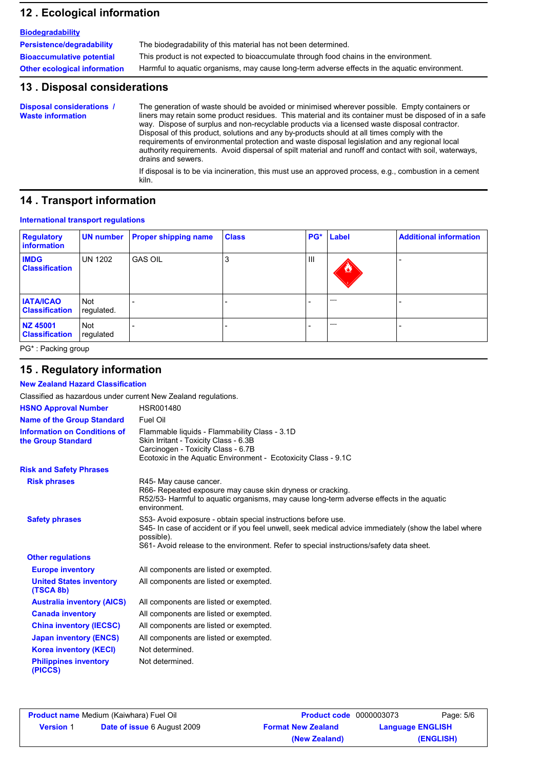## **12 . Ecological information**

| <b>Biodegradability</b>             |                                                                                               |
|-------------------------------------|-----------------------------------------------------------------------------------------------|
| Persistence/degradability           | The biodegradability of this material has not been determined.                                |
| <b>Bioaccumulative potential</b>    | This product is not expected to bioaccumulate through food chains in the environment.         |
| <b>Other ecological information</b> | Harmful to aquatic organisms, may cause long-term adverse effects in the aquatic environment. |

### **13 . Disposal considerations**

The generation of waste should be avoided or minimised wherever possible. Empty containers or liners may retain some product residues. This material and its container must be disposed of in a safe way. Dispose of surplus and non-recyclable products via a licensed waste disposal contractor. Disposal of this product, solutions and any by-products should at all times comply with the requirements of environmental protection and waste disposal legislation and any regional local authority requirements. Avoid dispersal of spilt material and runoff and contact with soil, waterways, drains and sewers. **Disposal considerations / Waste information** If disposal is to be via incineration, this must use an approved process, e.g., combustion in a cement

kiln.

### **14 . Transport information**

#### **International transport regulations**

| <b>Regulatory</b><br>information          | <b>UN number</b>        | <b>Proper shipping name</b> | <b>Class</b> |     | PG* Label         | <b>Additional information</b> |
|-------------------------------------------|-------------------------|-----------------------------|--------------|-----|-------------------|-------------------------------|
| <b>IMDG</b><br><b>Classification</b>      | <b>UN 1202</b>          | <b>GAS OIL</b>              | Ő.           | III | <u>₩</u>          |                               |
| <b>IATA/ICAO</b><br><b>Classification</b> | Not<br>regulated.       |                             |              |     | <b>STATISTICS</b> |                               |
| NZ 45001<br><b>Classification</b>         | <b>Not</b><br>regulated |                             |              |     | <b>STATISTICS</b> |                               |

PG\* : Packing group

## **15 . Regulatory information**

**New Zealand Hazard Classification**

| Classified as hazardous under current New Zealand regulations.                                                                                                                                                                                                                                           |                                                                                                                                                                                                  |  |
|----------------------------------------------------------------------------------------------------------------------------------------------------------------------------------------------------------------------------------------------------------------------------------------------------------|--------------------------------------------------------------------------------------------------------------------------------------------------------------------------------------------------|--|
| <b>HSNO Approval Number</b>                                                                                                                                                                                                                                                                              | HSR001480                                                                                                                                                                                        |  |
| <b>Name of the Group Standard</b>                                                                                                                                                                                                                                                                        | Fuel Oil                                                                                                                                                                                         |  |
| <b>Information on Conditions of</b><br>the Group Standard                                                                                                                                                                                                                                                | Flammable liquids - Flammability Class - 3.1D<br>Skin Irritant - Toxicity Class - 6.3B<br>Carcinogen - Toxicity Class - 6.7B<br>Ecotoxic in the Aquatic Environment - Ecotoxicity Class - 9.1C   |  |
| <b>Risk and Safety Phrases</b>                                                                                                                                                                                                                                                                           |                                                                                                                                                                                                  |  |
| <b>Risk phrases</b>                                                                                                                                                                                                                                                                                      | R45- May cause cancer.<br>R66- Repeated exposure may cause skin dryness or cracking.<br>R52/53- Harmful to aquatic organisms, may cause long-term adverse effects in the aquatic<br>environment. |  |
| <b>Safety phrases</b><br>S53- Avoid exposure - obtain special instructions before use.<br>S45- In case of accident or if you feel unwell, seek medical advice immediately (show the label where<br>possible).<br>S61- Avoid release to the environment. Refer to special instructions/safety data sheet. |                                                                                                                                                                                                  |  |
| <b>Other regulations</b>                                                                                                                                                                                                                                                                                 |                                                                                                                                                                                                  |  |
| <b>Europe inventory</b>                                                                                                                                                                                                                                                                                  | All components are listed or exempted.                                                                                                                                                           |  |
| <b>United States inventory</b><br>(TSCA 8b)                                                                                                                                                                                                                                                              | All components are listed or exempted.                                                                                                                                                           |  |
| <b>Australia inventory (AICS)</b>                                                                                                                                                                                                                                                                        | All components are listed or exempted.                                                                                                                                                           |  |
| <b>Canada inventory</b>                                                                                                                                                                                                                                                                                  | All components are listed or exempted.                                                                                                                                                           |  |
| <b>China inventory (IECSC)</b>                                                                                                                                                                                                                                                                           | All components are listed or exempted.                                                                                                                                                           |  |
| <b>Japan inventory (ENCS)</b>                                                                                                                                                                                                                                                                            | All components are listed or exempted.                                                                                                                                                           |  |
| <b>Korea inventory (KECI)</b>                                                                                                                                                                                                                                                                            | Not determined.                                                                                                                                                                                  |  |
| <b>Philippines inventory</b><br>(PICCS)                                                                                                                                                                                                                                                                  | Not determined.                                                                                                                                                                                  |  |

| <b>Product name Medium (Kaiwhara) Fuel Oil</b> |                                    | <b>Product code</b> 0000003073 |                         | Page: 5/6 |
|------------------------------------------------|------------------------------------|--------------------------------|-------------------------|-----------|
| <b>Version 1</b>                               | <b>Date of issue 6 August 2009</b> | <b>Format New Zealand</b>      | <b>Language ENGLISH</b> |           |
|                                                |                                    | (New Zealand)                  |                         | (ENGLISH) |